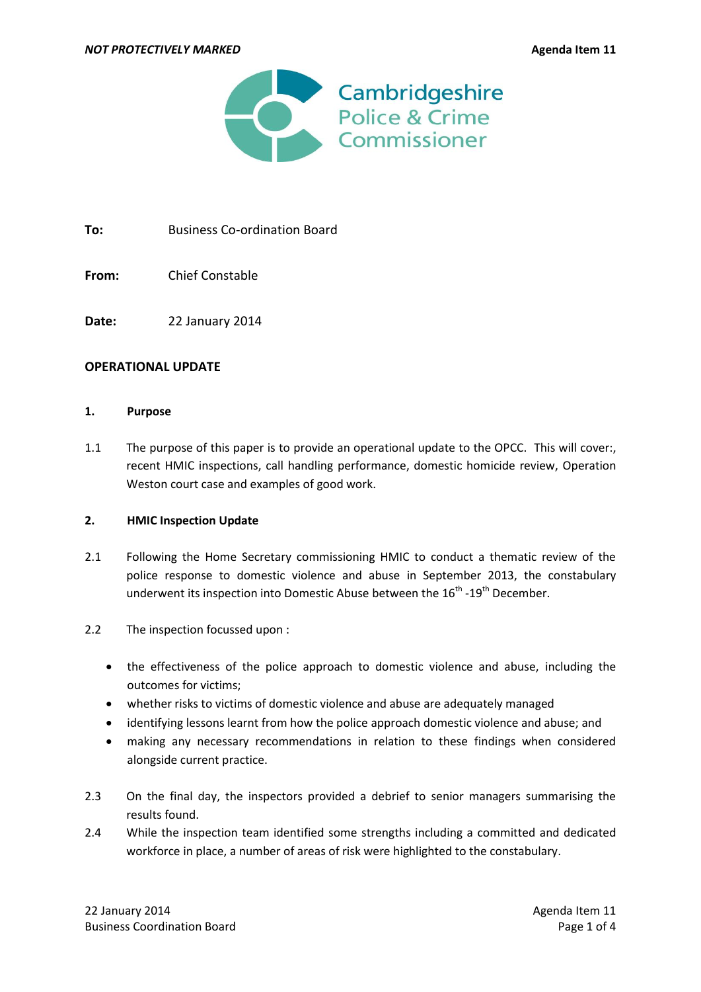

To: Business Co-ordination Board

**From:** Chief Constable

**Date:** 22 January 2014

### **OPERATIONAL UPDATE**

### **1. Purpose**

1.1 The purpose of this paper is to provide an operational update to the OPCC. This will cover:, recent HMIC inspections, call handling performance, domestic homicide review, Operation Weston court case and examples of good work.

### **2. HMIC Inspection Update**

- 2.1 Following the Home Secretary commissioning HMIC to conduct a thematic review of the police response to domestic violence and abuse in September 2013, the constabulary underwent its inspection into Domestic Abuse between the  $16^{\text{th}}$  -19 $^{\text{th}}$  December.
- 2.2 The inspection focussed upon :
	- the effectiveness of the police approach to domestic violence and abuse, including the outcomes for victims;
	- whether risks to victims of domestic violence and abuse are adequately managed
	- identifying lessons learnt from how the police approach domestic violence and abuse; and
	- making any necessary recommendations in relation to these findings when considered alongside current practice.
- 2.3 On the final day, the inspectors provided a debrief to senior managers summarising the results found.
- 2.4 While the inspection team identified some strengths including a committed and dedicated workforce in place, a number of areas of risk were highlighted to the constabulary.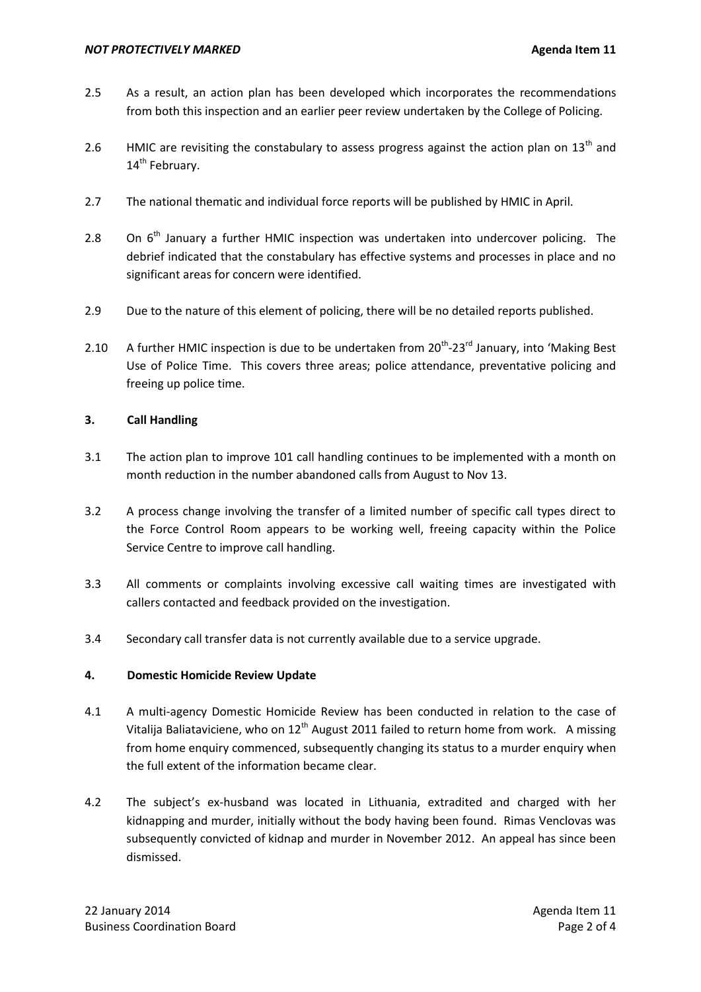- 2.5 As a result, an action plan has been developed which incorporates the recommendations from both this inspection and an earlier peer review undertaken by the College of Policing.
- 2.6 HMIC are revisiting the constabulary to assess progress against the action plan on  $13<sup>th</sup>$  and 14<sup>th</sup> February.
- 2.7 The national thematic and individual force reports will be published by HMIC in April.
- 2.8 On  $6<sup>th</sup>$  January a further HMIC inspection was undertaken into undercover policing. The debrief indicated that the constabulary has effective systems and processes in place and no significant areas for concern were identified.
- 2.9 Due to the nature of this element of policing, there will be no detailed reports published.
- 2.10 A further HMIC inspection is due to be undertaken from  $20^{th}$ -23<sup>rd</sup> January, into 'Making Best Use of Police Time. This covers three areas; police attendance, preventative policing and freeing up police time.

# **3. Call Handling**

- 3.1 The action plan to improve 101 call handling continues to be implemented with a month on month reduction in the number abandoned calls from August to Nov 13.
- 3.2 A process change involving the transfer of a limited number of specific call types direct to the Force Control Room appears to be working well, freeing capacity within the Police Service Centre to improve call handling.
- 3.3 All comments or complaints involving excessive call waiting times are investigated with callers contacted and feedback provided on the investigation.
- 3.4 Secondary call transfer data is not currently available due to a service upgrade.

# **4. Domestic Homicide Review Update**

- 4.1 A multi-agency Domestic Homicide Review has been conducted in relation to the case of Vitalija Baliataviciene, who on  $12<sup>th</sup>$  August 2011 failed to return home from work. A missing from home enquiry commenced, subsequently changing its status to a murder enquiry when the full extent of the information became clear.
- 4.2 The subject's ex-husband was located in Lithuania, extradited and charged with her kidnapping and murder, initially without the body having been found. Rimas Venclovas was subsequently convicted of kidnap and murder in November 2012. An appeal has since been dismissed.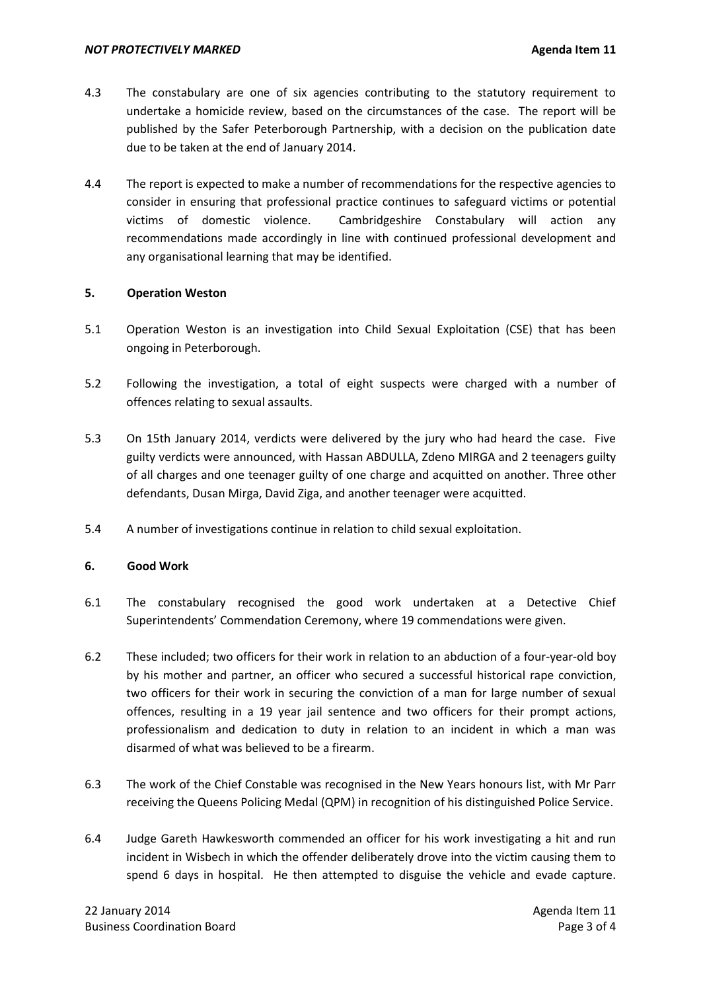- 4.3 The constabulary are one of six agencies contributing to the statutory requirement to undertake a homicide review, based on the circumstances of the case. The report will be published by the Safer Peterborough Partnership, with a decision on the publication date due to be taken at the end of January 2014.
- 4.4 The report is expected to make a number of recommendations for the respective agencies to consider in ensuring that professional practice continues to safeguard victims or potential victims of domestic violence. Cambridgeshire Constabulary will action any recommendations made accordingly in line with continued professional development and any organisational learning that may be identified.

### **5. Operation Weston**

- 5.1 Operation Weston is an investigation into Child Sexual Exploitation (CSE) that has been ongoing in Peterborough.
- 5.2 Following the investigation, a total of eight suspects were charged with a number of offences relating to sexual assaults.
- 5.3 On 15th January 2014, verdicts were delivered by the jury who had heard the case. Five guilty verdicts were announced, with Hassan ABDULLA, Zdeno MIRGA and 2 teenagers guilty of all charges and one teenager guilty of one charge and acquitted on another. Three other defendants, Dusan Mirga, David Ziga, and another teenager were acquitted.
- 5.4 A number of investigations continue in relation to child sexual exploitation.

### **6. Good Work**

- 6.1 The constabulary recognised the good work undertaken at a Detective Chief Superintendents' Commendation Ceremony, where 19 commendations were given.
- 6.2 These included; two officers for their work in relation to an abduction of a four-year-old boy by his mother and partner, an officer who secured a successful historical rape conviction, two officers for their work in securing the conviction of a man for large number of sexual offences, resulting in a 19 year jail sentence and two officers for their prompt actions, professionalism and dedication to duty in relation to an incident in which a man was disarmed of what was believed to be a firearm.
- 6.3 The work of the Chief Constable was recognised in the New Years honours list, with Mr Parr receiving the Queens Policing Medal (QPM) in recognition of his distinguished Police Service.
- 6.4 Judge Gareth Hawkesworth commended an officer for his work investigating a hit and run incident in Wisbech in which the offender deliberately drove into the victim causing them to spend 6 days in hospital. He then attempted to disguise the vehicle and evade capture.